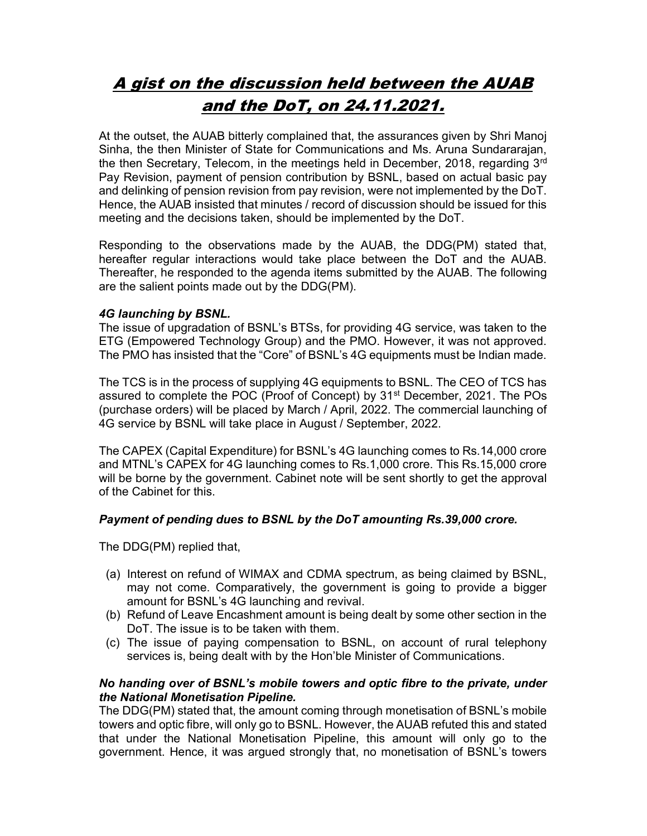# A gist on the discussion held between the AUAB and the DoT, on 24.11.2021.

At the outset, the AUAB bitterly complained that, the assurances given by Shri Manoj Sinha, the then Minister of State for Communications and Ms. Aruna Sundararajan, the then Secretary, Telecom, in the meetings held in December, 2018, regarding 3<sup>rd</sup> Pay Revision, payment of pension contribution by BSNL, based on actual basic pay and delinking of pension revision from pay revision, were not implemented by the DoT. Hence, the AUAB insisted that minutes / record of discussion should be issued for this meeting and the decisions taken, should be implemented by the DoT.

Responding to the observations made by the AUAB, the DDG(PM) stated that, hereafter regular interactions would take place between the DoT and the AUAB. Thereafter, he responded to the agenda items submitted by the AUAB. The following are the salient points made out by the DDG(PM).

# 4G launching by BSNL.

The issue of upgradation of BSNL's BTSs, for providing 4G service, was taken to the ETG (Empowered Technology Group) and the PMO. However, it was not approved. The PMO has insisted that the "Core" of BSNL's 4G equipments must be Indian made.

The TCS is in the process of supplying 4G equipments to BSNL. The CEO of TCS has assured to complete the POC (Proof of Concept) by 31st December, 2021. The POs (purchase orders) will be placed by March / April, 2022. The commercial launching of 4G service by BSNL will take place in August / September, 2022.

The CAPEX (Capital Expenditure) for BSNL's 4G launching comes to Rs.14,000 crore and MTNL's CAPEX for 4G launching comes to Rs.1,000 crore. This Rs.15,000 crore will be borne by the government. Cabinet note will be sent shortly to get the approval of the Cabinet for this.

# Payment of pending dues to BSNL by the DoT amounting Rs.39,000 crore.

The DDG(PM) replied that,

- (a) Interest on refund of WIMAX and CDMA spectrum, as being claimed by BSNL, may not come. Comparatively, the government is going to provide a bigger amount for BSNL's 4G launching and revival.
- (b) Refund of Leave Encashment amount is being dealt by some other section in the DoT. The issue is to be taken with them.
- (c) The issue of paying compensation to BSNL, on account of rural telephony services is, being dealt with by the Hon'ble Minister of Communications.

## No handing over of BSNL's mobile towers and optic fibre to the private, under the National Monetisation Pipeline.

The DDG(PM) stated that, the amount coming through monetisation of BSNL's mobile towers and optic fibre, will only go to BSNL. However, the AUAB refuted this and stated that under the National Monetisation Pipeline, this amount will only go to the government. Hence, it was argued strongly that, no monetisation of BSNL's towers